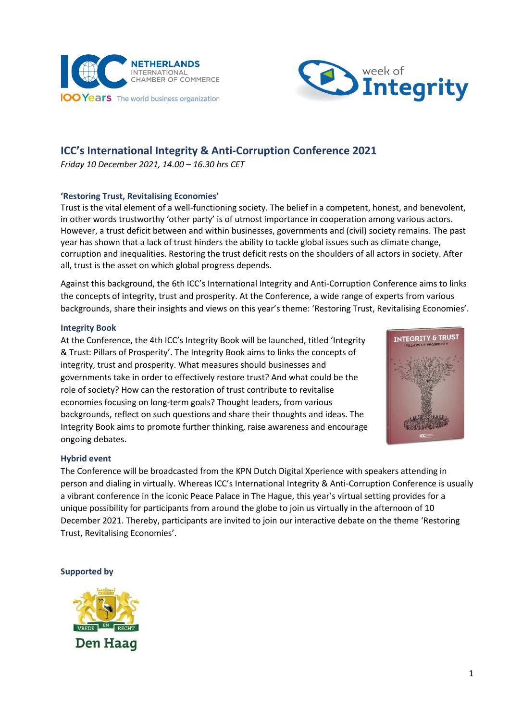



# **ICC's International Integrity & Anti-Corruption Conference 2021**

*Friday 10 December 2021, 14.00 – 16.30 hrs CET*

## **'Restoring Trust, Revitalising Economies'**

Trust is the vital element of a well-functioning society. The belief in a competent, honest, and benevolent, in other words trustworthy 'other party' is of utmost importance in cooperation among various actors. However, a trust deficit between and within businesses, governments and (civil) society remains. The past year has shown that a lack of trust hinders the ability to tackle global issues such as climate change, corruption and inequalities. Restoring the trust deficit rests on the shoulders of all actors in society. After all, trust is the asset on which global progress depends.

Against this background, the 6th ICC's International Integrity and Anti-Corruption Conference aims to links the concepts of integrity, trust and prosperity. At the Conference, a wide range of experts from various backgrounds, share their insights and views on this year's theme: 'Restoring Trust, Revitalising Economies'.

#### **Integrity Book**

At the Conference, the 4th ICC's Integrity Book will be launched, titled 'Integrity & Trust: Pillars of Prosperity'. The Integrity Book aims to links the concepts of integrity, trust and prosperity. What measures should businesses and governments take in order to effectively restore trust? And what could be the role of society? How can the restoration of trust contribute to revitalise economies focusing on long-term goals? Thought leaders, from various backgrounds, reflect on such questions and share their thoughts and ideas. The Integrity Book aims to promote further thinking, raise awareness and encourage ongoing debates.



#### **Hybrid event**

The Conference will be broadcasted from the KPN Dutch Digital Xperience with speakers attending in person and dialing in virtually. Whereas ICC's International Integrity & Anti-Corruption Conference is usually a vibrant conference in the iconic Peace Palace in The Hague, this year's virtual setting provides for a unique possibility for participants from around the globe to join us virtually in the afternoon of 10 December 2021. Thereby, participants are invited to join our interactive debate on the theme 'Restoring Trust, Revitalising Economies'.

#### **Supported by**

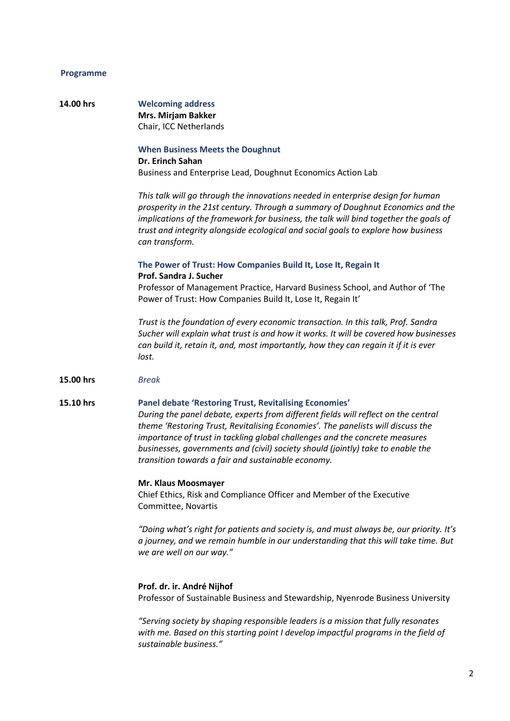# **Programme**

| 14.00 hrs | <b>Welcoming address</b><br>Mrs. Mirjam Bakker<br>Chair, ICC Netherlands                                                                                                                                                                                                                                                                                                                                                                                       |
|-----------|----------------------------------------------------------------------------------------------------------------------------------------------------------------------------------------------------------------------------------------------------------------------------------------------------------------------------------------------------------------------------------------------------------------------------------------------------------------|
|           | <b>When Business Meets the Doughnut</b><br><b>Dr. Erinch Sahan</b><br>Business and Enterprise Lead, Doughnut Economics Action Lab                                                                                                                                                                                                                                                                                                                              |
|           | This talk will go through the innovations needed in enterprise design for human<br>prosperity in the 21st century. Through a summary of Doughnut Economics and the<br>implications of the framework for business, the talk will bind together the goals of<br>trust and integrity alongside ecological and social goals to explore how business<br>can transform.                                                                                              |
|           | The Power of Trust: How Companies Build It, Lose It, Regain It                                                                                                                                                                                                                                                                                                                                                                                                 |
|           | Prof. Sandra J. Sucher<br>Professor of Management Practice, Harvard Business School, and Author of 'The<br>Power of Trust: How Companies Build It, Lose It, Regain It'                                                                                                                                                                                                                                                                                         |
|           | Trust is the foundation of every economic transaction. In this talk, Prof. Sandra<br>Sucher will explain what trust is and how it works. It will be covered how businesses<br>can build it, retain it, and, most importantly, how they can regain it if it is ever<br>lost.                                                                                                                                                                                    |
| 15.00 hrs | <b>Break</b>                                                                                                                                                                                                                                                                                                                                                                                                                                                   |
| 15.10 hrs | <b>Panel debate 'Restoring Trust, Revitalising Economies'</b><br>During the panel debate, experts from different fields will reflect on the central<br>theme 'Restoring Trust, Revitalising Economies'. The panelists will discuss the<br>importance of trust in tackling global challenges and the concrete measures<br>businesses, governments and (civil) society should (jointly) take to enable the<br>transition towards a fair and sustainable economy. |
|           | Mr. Klaus Moosmayer<br>Chief Ethics, Risk and Compliance Officer and Member of the Executive<br>Committee, Novartis                                                                                                                                                                                                                                                                                                                                            |
|           | "Doing what's right for patients and society is, and must always be, our priority. It's<br>a journey, and we remain humble in our understanding that this will take time. But<br>we are well on our way."                                                                                                                                                                                                                                                      |
|           | Prof. dr. ir. André Nijhof<br>Professor of Sustainable Business and Stewardship, Nyenrode Business University                                                                                                                                                                                                                                                                                                                                                  |

*"Serving society by shaping responsible leaders is a mission that fully resonates with me. Based on this starting point I develop impactful programs in the field of sustainable business."*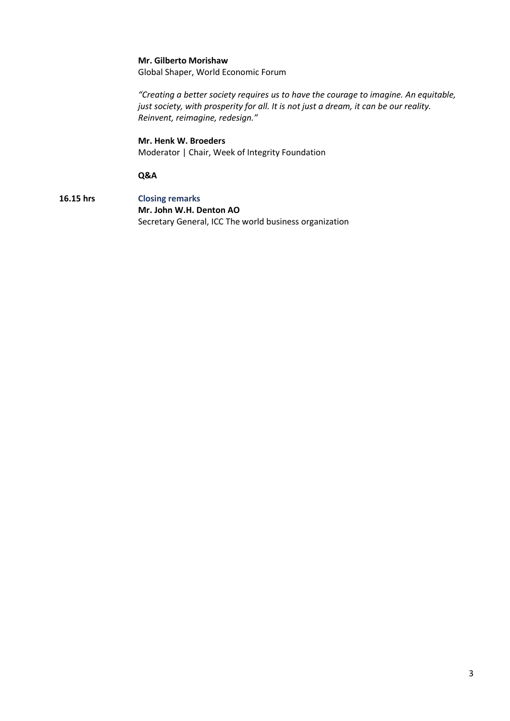#### **Mr. Gilberto Morishaw**

Global Shaper, World Economic Forum

*"Creating a better society requires us to have the courage to imagine. An equitable, just society, with prosperity for all. It is not just a dream, it can be our reality. Reinvent, reimagine, redesign."*

# **Mr. Henk W. Broeders** Moderator | Chair, Week of Integrity Foundation

#### **Q&A**

**16.15 hrs Closing remarks Mr. John W.H. Denton AO** Secretary General, ICC The world business organization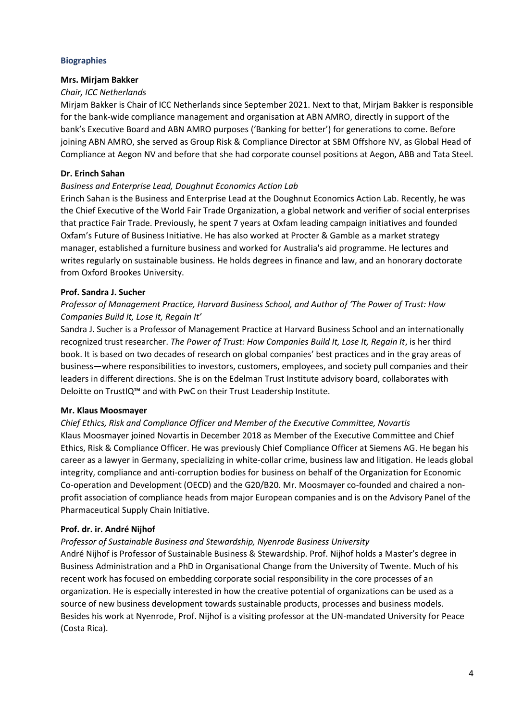## **Biographies**

#### **Mrs. Mirjam Bakker**

# *Chair, ICC Netherlands*

Mirjam Bakker is Chair of ICC Netherlands since September 2021. Next to that, Mirjam Bakker is responsible for the bank-wide compliance management and organisation at ABN AMRO, directly in support of the bank's Executive Board and ABN AMRO purposes ('Banking for better') for generations to come. Before joining ABN AMRO, she served as Group Risk & Compliance Director at SBM Offshore NV, as Global Head of Compliance at Aegon NV and before that she had corporate counsel positions at Aegon, ABB and Tata Steel.

# **Dr. Erinch Sahan**

## *Business and Enterprise Lead, Doughnut Economics Action Lab*

Erinch Sahan is the Business and Enterprise Lead at the Doughnut Economics Action Lab. Recently, he was the Chief Executive of the World Fair Trade Organization, a global network and verifier of social enterprises that practice Fair Trade. Previously, he spent 7 years at Oxfam leading campaign initiatives and founded Oxfam's Future of Business Initiative. He has also worked at Procter & Gamble as a market strategy manager, established a furniture business and worked for Australia's aid programme. He lectures and writes regularly on sustainable business. He holds degrees in finance and law, and an honorary doctorate from Oxford Brookes University.

## **Prof. Sandra J. Sucher**

# *Professor of Management Practice, Harvard Business School, and Author of 'The Power of Trust: How Companies Build It, Lose It, Regain It'*

Sandra J. Sucher is a Professor of Management Practice at Harvard Business School and an internationally recognized trust researcher. *The Power of Trust: How Companies Build It, Lose It, Regain It*, is her third book. It is based on two decades of research on global companies' best practices and in the gray areas of business—where responsibilities to investors, customers, employees, and society pull companies and their leaders in different directions. She is on the Edelman Trust Institute advisory board, collaborates with Deloitte on TrustIQ™ and with PwC on their Trust Leadership Institute.

#### **Mr. Klaus Moosmayer**

# *Chief Ethics, Risk and Compliance Officer and Member of the Executive Committee, Novartis* Klaus Moosmayer joined Novartis in December 2018 as Member of the Executive Committee and Chief Ethics, Risk & Compliance Officer. He was previously Chief Compliance Officer at Siemens AG. He began his career as a lawyer in Germany, specializing in white-collar crime, business law and litigation. He leads global integrity, compliance and anti-corruption bodies for business on behalf of the Organization for Economic Co-operation and Development (OECD) and the G20/B20. Mr. Moosmayer co-founded and chaired a nonprofit association of compliance heads from major European companies and is on the Advisory Panel of the Pharmaceutical Supply Chain Initiative.

### **Prof. dr. ir. André Nijhof**

#### *Professor of Sustainable Business and Stewardship, Nyenrode Business University*

André Nijhof is Professor of Sustainable Business & Stewardship. Prof. Nijhof holds a Master's degree in Business Administration and a PhD in Organisational Change from the University of Twente. Much of his recent work has focused on embedding corporate social responsibility in the core processes of an organization. He is especially interested in how the creative potential of organizations can be used as a source of new business development towards sustainable products, processes and business models. Besides his work at Nyenrode, Prof. Nijhof is a visiting professor at the UN-mandated University for Peace (Costa Rica).